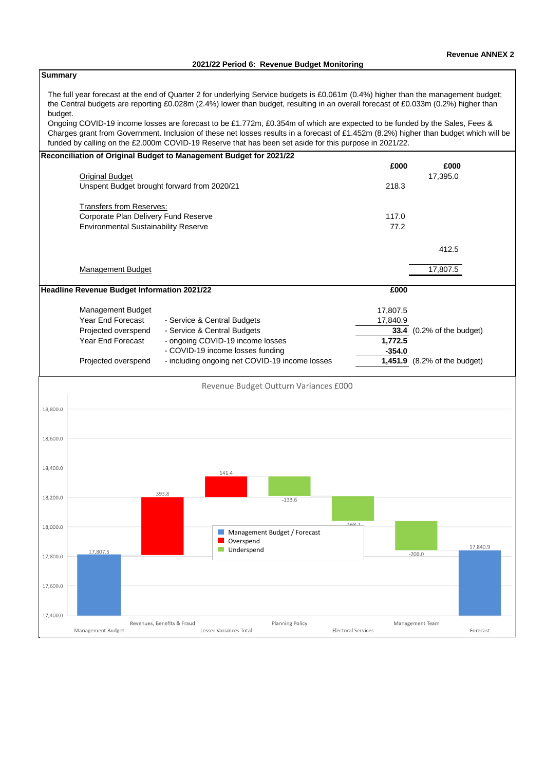**Summary**

# The full year forecast at the end of Quarter 2 for underlying Service budgets is £0.061m (0.4%) higher than the management budget; the Central budgets are reporting £0.028m (2.4%) lower than budget, resulting in an overall forecast of £0.033m (0.2%) higher than budget.

Ongoing COVID-19 income losses are forecast to be £1.772m, £0.354m of which are expected to be funded by the Sales, Fees & Charges grant from Government. Inclusion of these net losses results in a forecast of £1.452m (8.2%) higher than budget which will be funded by calling on the £2.000m COVID-19 Reserve that has been set aside for this purpose in 2021/22.

|          | Reconciliation of Original Budget to Management Budget for 2021/22 |                            |                                                |                              |                           |          |                              |          |
|----------|--------------------------------------------------------------------|----------------------------|------------------------------------------------|------------------------------|---------------------------|----------|------------------------------|----------|
|          |                                                                    |                            |                                                |                              |                           | £000     | £000                         |          |
|          | <b>Original Budget</b>                                             |                            |                                                |                              |                           |          | 17,395.0                     |          |
|          | Unspent Budget brought forward from 2020/21                        |                            |                                                |                              |                           | 218.3    |                              |          |
|          | <b>Transfers from Reserves:</b>                                    |                            |                                                |                              |                           |          |                              |          |
|          | Corporate Plan Delivery Fund Reserve                               |                            |                                                |                              |                           | 117.0    |                              |          |
|          | <b>Environmental Sustainability Reserve</b>                        |                            |                                                |                              |                           | 77.2     |                              |          |
|          |                                                                    |                            |                                                |                              |                           |          |                              |          |
|          |                                                                    |                            |                                                |                              |                           |          | 412.5                        |          |
|          | <b>Management Budget</b>                                           |                            |                                                |                              |                           |          | 17,807.5                     |          |
|          |                                                                    |                            |                                                |                              |                           |          |                              |          |
|          | Headline Revenue Budget Information 2021/22                        |                            |                                                |                              |                           | £000     |                              |          |
|          | Management Budget                                                  |                            |                                                |                              |                           |          |                              |          |
|          |                                                                    |                            |                                                |                              |                           | 17,807.5 |                              |          |
|          | Year End Forecast                                                  |                            | - Service & Central Budgets                    |                              |                           | 17,840.9 |                              |          |
|          | Projected overspend                                                |                            | - Service & Central Budgets                    |                              |                           | 33.4     | (0.2% of the budget)         |          |
|          | Year End Forecast                                                  |                            | - ongoing COVID-19 income losses               |                              |                           | 1,772.5  |                              |          |
|          |                                                                    |                            | - COVID-19 income losses funding               |                              |                           | $-354.0$ |                              |          |
|          | Projected overspend                                                |                            | - including ongoing net COVID-19 income losses |                              |                           |          | 1,451.9 (8.2% of the budget) |          |
| 18,800.0 |                                                                    |                            | Revenue Budget Outturn Variances £000          |                              |                           |          |                              |          |
| 18,600.0 |                                                                    |                            |                                                |                              |                           |          |                              |          |
|          |                                                                    |                            |                                                |                              |                           |          |                              |          |
| 18,400.0 |                                                                    |                            | 141.4                                          |                              |                           |          |                              |          |
| 18,200.0 |                                                                    | 393.8                      |                                                | $-133.6$                     |                           |          |                              |          |
|          |                                                                    |                            |                                                |                              |                           |          |                              |          |
|          |                                                                    |                            |                                                |                              | 1682                      |          |                              |          |
| 18,000.0 |                                                                    |                            |                                                | Management Budget / Forecast |                           |          |                              |          |
|          |                                                                    |                            | Overspend                                      |                              |                           |          |                              |          |
|          | 17,807.5                                                           |                            | $\blacksquare$ Underspend                      |                              |                           |          | $-200.0$                     | 17,840.9 |
| 17,800.0 |                                                                    |                            |                                                |                              |                           |          |                              |          |
|          |                                                                    |                            |                                                |                              |                           |          |                              |          |
|          |                                                                    |                            |                                                |                              |                           |          |                              |          |
| 17,600.0 |                                                                    |                            |                                                |                              |                           |          |                              |          |
|          |                                                                    |                            |                                                |                              |                           |          |                              |          |
|          |                                                                    |                            |                                                |                              |                           |          |                              |          |
| 17,400.0 |                                                                    |                            |                                                |                              |                           |          |                              |          |
|          | Management Budget                                                  | Revenues, Benefits & Fraud | Lesser Variances Total                         | <b>Planning Policy</b>       | <b>Electoral Services</b> |          | Management Team              | Forecast |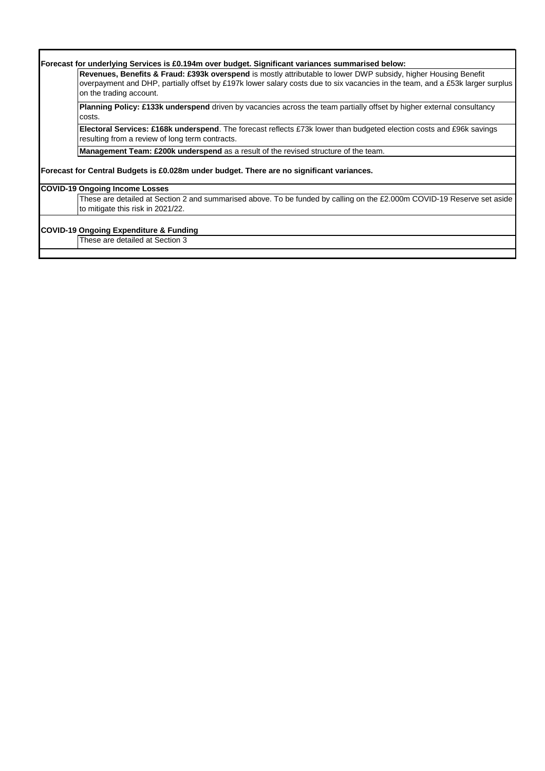| Forecast for underlying Services is £0.194m over budget. Significant variances summarised below:                                                                                |
|---------------------------------------------------------------------------------------------------------------------------------------------------------------------------------|
| Revenues, Benefits & Fraud: £393k overspend is mostly attributable to lower DWP subsidy, higher Housing Benefit                                                                 |
| overpayment and DHP, partially offset by £197k lower salary costs due to six vacancies in the team, and a £53k larger surplus<br>on the trading account.                        |
| <b>Planning Policy: £133k underspend</b> driven by vacancies across the team partially offset by higher external consultancy<br>costs.                                          |
| <b>Electoral Services: £168k underspend</b> . The forecast reflects £73k lower than budgeted election costs and £96k savings<br>resulting from a review of long term contracts. |
| Management Team: £200k underspend as a result of the revised structure of the team.                                                                                             |
| Forecast for Central Budgets is £0.028m under budget. There are no significant variances.                                                                                       |
| <b>COVID-19 Ongoing Income Losses</b>                                                                                                                                           |
| These are detailed at Section 2 and summarised above. To be funded by calling on the £2.000m COVID-19 Reserve set aside<br>to mitigate this risk in 2021/22.                    |
|                                                                                                                                                                                 |
| <b>COVID-19 Ongoing Expenditure &amp; Funding</b>                                                                                                                               |
| These are detailed at Section 3                                                                                                                                                 |

Г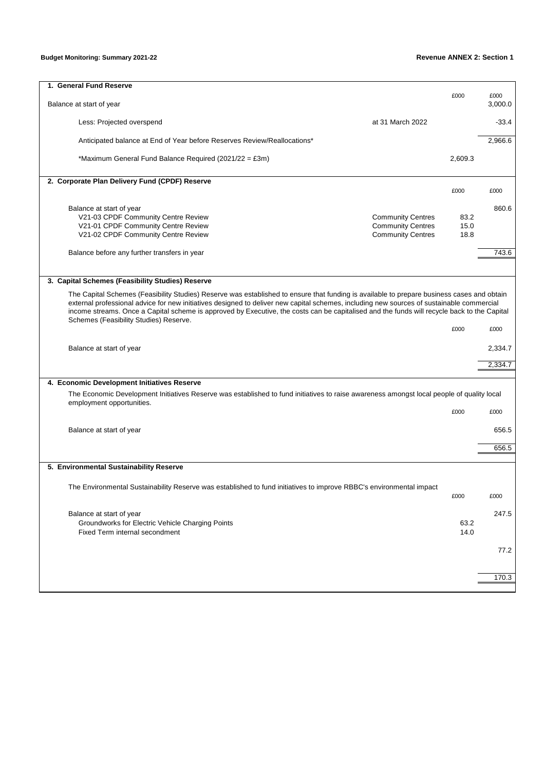## **Budget Monitoring: Summary 2021-22 Revenue ANNEX 2: Section 1**

| 1. General Fund Reserve                                                                                                                                                                                                                                                                                                                                                                                                                                                          |                          |              |                 |
|----------------------------------------------------------------------------------------------------------------------------------------------------------------------------------------------------------------------------------------------------------------------------------------------------------------------------------------------------------------------------------------------------------------------------------------------------------------------------------|--------------------------|--------------|-----------------|
| Balance at start of year                                                                                                                                                                                                                                                                                                                                                                                                                                                         |                          | £000         | £000<br>3,000.0 |
| Less: Projected overspend                                                                                                                                                                                                                                                                                                                                                                                                                                                        | at 31 March 2022         |              | $-33.4$         |
| Anticipated balance at End of Year before Reserves Review/Reallocations*                                                                                                                                                                                                                                                                                                                                                                                                         |                          |              | 2,966.6         |
| *Maximum General Fund Balance Required (2021/22 = £3m)                                                                                                                                                                                                                                                                                                                                                                                                                           |                          | 2,609.3      |                 |
| 2. Corporate Plan Delivery Fund (CPDF) Reserve                                                                                                                                                                                                                                                                                                                                                                                                                                   |                          | £000         | £000            |
|                                                                                                                                                                                                                                                                                                                                                                                                                                                                                  |                          |              |                 |
| Balance at start of year                                                                                                                                                                                                                                                                                                                                                                                                                                                         |                          |              | 860.6           |
| V21-03 CPDF Community Centre Review                                                                                                                                                                                                                                                                                                                                                                                                                                              | <b>Community Centres</b> | 83.2         |                 |
| V21-01 CPDF Community Centre Review                                                                                                                                                                                                                                                                                                                                                                                                                                              | <b>Community Centres</b> | 15.0         |                 |
| V21-02 CPDF Community Centre Review                                                                                                                                                                                                                                                                                                                                                                                                                                              | <b>Community Centres</b> | 18.8         |                 |
| Balance before any further transfers in year                                                                                                                                                                                                                                                                                                                                                                                                                                     |                          |              | 743.6           |
|                                                                                                                                                                                                                                                                                                                                                                                                                                                                                  |                          |              |                 |
| 3. Capital Schemes (Feasibility Studies) Reserve                                                                                                                                                                                                                                                                                                                                                                                                                                 |                          |              |                 |
| The Capital Schemes (Feasibility Studies) Reserve was established to ensure that funding is available to prepare business cases and obtain<br>external professional advice for new initiatives designed to deliver new capital schemes, including new sources of sustainable commercial<br>income streams. Once a Capital scheme is approved by Executive, the costs can be capitalised and the funds will recycle back to the Capital<br>Schemes (Feasibility Studies) Reserve. |                          |              |                 |
|                                                                                                                                                                                                                                                                                                                                                                                                                                                                                  |                          | £000         | £000            |
| Balance at start of year                                                                                                                                                                                                                                                                                                                                                                                                                                                         |                          |              | 2,334.7         |
|                                                                                                                                                                                                                                                                                                                                                                                                                                                                                  |                          |              | 2,334.7         |
| 4. Economic Development Initiatives Reserve                                                                                                                                                                                                                                                                                                                                                                                                                                      |                          |              |                 |
| The Economic Development Initiatives Reserve was established to fund initiatives to raise awareness amongst local people of quality local                                                                                                                                                                                                                                                                                                                                        |                          |              |                 |
| employment opportunities.                                                                                                                                                                                                                                                                                                                                                                                                                                                        |                          | £000         | £000            |
| Balance at start of year                                                                                                                                                                                                                                                                                                                                                                                                                                                         |                          |              | 656.5           |
|                                                                                                                                                                                                                                                                                                                                                                                                                                                                                  |                          |              | 656.5           |
|                                                                                                                                                                                                                                                                                                                                                                                                                                                                                  |                          |              |                 |
| 5. Environmental Sustainability Reserve                                                                                                                                                                                                                                                                                                                                                                                                                                          |                          |              |                 |
| The Environmental Sustainability Reserve was established to fund initiatives to improve RBBC's environmental impact                                                                                                                                                                                                                                                                                                                                                              |                          | £000         | £000            |
|                                                                                                                                                                                                                                                                                                                                                                                                                                                                                  |                          |              |                 |
| Balance at start of year                                                                                                                                                                                                                                                                                                                                                                                                                                                         |                          |              | 247.5           |
| Groundworks for Electric Vehicle Charging Points<br>Fixed Term internal secondment                                                                                                                                                                                                                                                                                                                                                                                               |                          | 63.2<br>14.0 |                 |
|                                                                                                                                                                                                                                                                                                                                                                                                                                                                                  |                          |              | 77.2            |
|                                                                                                                                                                                                                                                                                                                                                                                                                                                                                  |                          |              |                 |
|                                                                                                                                                                                                                                                                                                                                                                                                                                                                                  |                          |              | 170.3           |
|                                                                                                                                                                                                                                                                                                                                                                                                                                                                                  |                          |              |                 |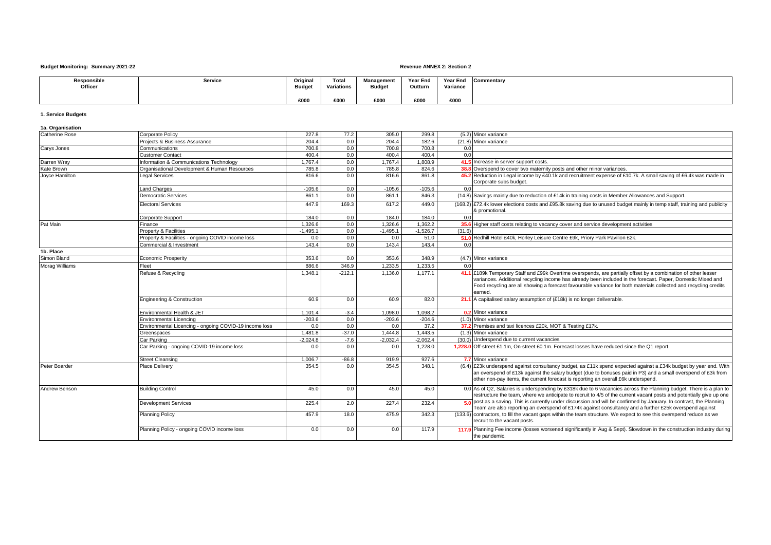### **Budget Monitoring: Summary 2021-22 Revenue ANNEX 2: Section 2**

| Responsible<br>Officer | Service | Original<br><b>Budget</b> | Total<br>Variations | Management<br><b>Budget</b> | Year End<br>Outturn | Year End<br>Variance | Commentary |
|------------------------|---------|---------------------------|---------------------|-----------------------------|---------------------|----------------------|------------|
|                        |         |                           |                     |                             |                     |                      |            |
|                        |         | £000                      | £000                | £000                        | £000                | £000                 |            |

### **1. Service Budgets**

| 1a. Organisation      |                                                        |            |          |            |            |        |                                                                                                                                                                                                                                                                                                                                                              |
|-----------------------|--------------------------------------------------------|------------|----------|------------|------------|--------|--------------------------------------------------------------------------------------------------------------------------------------------------------------------------------------------------------------------------------------------------------------------------------------------------------------------------------------------------------------|
| Catherine Rose        | Corporate Policy                                       | 227.8      | 77.2     | 305.0      | 299.8      |        | (5.2) Minor variance                                                                                                                                                                                                                                                                                                                                         |
|                       | Projects & Business Assurance                          | 204.4      | 0.0      | 204.4      | 182.6      |        | (21.8) Minor variance                                                                                                                                                                                                                                                                                                                                        |
| Carys Jones           | Communications                                         | 700.8      | 0.0      | 700.8      | 700.8      | 0.0    |                                                                                                                                                                                                                                                                                                                                                              |
|                       | Customer Contact                                       | 400.4      | 0.0      | 400.4      | 400.4      | 0.0    |                                                                                                                                                                                                                                                                                                                                                              |
| Darren Wray           | Information & Communications Technology                | 1.767.4    | 0.0      | 1.767.4    | 1.808.9    |        | 41.5 Increase in server support costs.                                                                                                                                                                                                                                                                                                                       |
| Kate Brown            | Organisational Development & Human Resources           | 785.8      | 0.0      | 785.8      | 824.6      |        | 38.8 Overspend to cover two maternity posts and other minor variances.                                                                                                                                                                                                                                                                                       |
| Joyce Hamilton        | Legal Services                                         | 816.6      | 0.0      | 816.6      | 861.8      |        | 45.2 Reduction in Legal income by £40.1k and recruitment expense of £10.7k. A small saving of £6.4k was made in<br>Corporate subs budget.                                                                                                                                                                                                                    |
|                       | and Charges                                            | $-105.6$   | 0.0      | $-105.6$   | $-105.6$   | 0.0    |                                                                                                                                                                                                                                                                                                                                                              |
|                       | <b>Democratic Services</b>                             | 861.1      | 0.0      | 861.1      | 846.3      |        | (14.8) Savings mainly due to reduction of £14k in training costs in Member Allowances and Support.                                                                                                                                                                                                                                                           |
|                       | <b>Electoral Services</b>                              | 447.9      | 169.3    | 617.2      | 449.0      |        | (168.2) £72.4k lower elections costs and £95.8k saving due to unused budget mainly in temp staff, training and publicity<br>& promotional.                                                                                                                                                                                                                   |
|                       | <b>Corporate Support</b>                               | 184.0      | 0.0      | 184.0      | 184.0      | 0.0    |                                                                                                                                                                                                                                                                                                                                                              |
| Pat Main              | Finance                                                | 1.326.6    | 0.0      | 1,326.6    | 1.362.2    |        | 35.6 Higher staff costs relating to vacancy cover and service development activities                                                                                                                                                                                                                                                                         |
|                       | Property & Facilities                                  | $-1,495.1$ | 0.0      | $-1,495.1$ | $-1,526.7$ | (31.6) |                                                                                                                                                                                                                                                                                                                                                              |
|                       | Property & Facilities - ongoing COVID income loss      | 0.0        | 0.0      | 0.0        | 51.0       |        | 51.0 Redhill Hotel £40k, Horley Leisure Centre £9k, Priory Park Pavilion £2k.                                                                                                                                                                                                                                                                                |
|                       | Commercial & Investment                                | 143.4      | 0.0      | 143.4      | 143.4      | 0.0    |                                                                                                                                                                                                                                                                                                                                                              |
| 1b. Place             |                                                        |            |          |            |            |        |                                                                                                                                                                                                                                                                                                                                                              |
| Simon Bland           | <b>Economic Prosperity</b>                             | 353.6      | 0.0      | 353.6      | 348.9      |        | (4.7) Minor variance                                                                                                                                                                                                                                                                                                                                         |
| <b>Morag Williams</b> | Fleet                                                  | 886.6      | 346.9    | 1,233.5    | 1,233.5    | 0.0    |                                                                                                                                                                                                                                                                                                                                                              |
|                       | Refuse & Recycling                                     | 1,348.1    | $-212.1$ | 1,136.0    | 1.177.1    |        | 41.1 £189k Temporary Staff and £99k Overtime overspends, are partially offset by a combination of other lesser<br>variances. Additional recycling income has already been included in the forecast. Paper, Domestic Mixed and<br>Food recycling are all showing a forecast favourable variance for both materials collected and recycling credits<br>earned. |
|                       | Engineering & Construction                             | 60.9       | 0.0      | 60.9       | 82.0       |        | 21.1 A capitalised salary assumption of (£18k) is no longer deliverable.                                                                                                                                                                                                                                                                                     |
|                       | Environmental Health & JET                             | 1,101.4    | $-3.4$   | 1,098.0    | 1,098.2    |        | 0.2 Minor variance                                                                                                                                                                                                                                                                                                                                           |
|                       | Environmental Licencing                                | $-203.6$   | 0.0      | $-203.6$   | $-204.6$   |        | (1.0) Minor variance                                                                                                                                                                                                                                                                                                                                         |
|                       | Environmental Licencing - ongoing COVID-19 income loss | 0.0        | 0.0      | 0.0        | 37.2       |        | 37.2 Premises and taxi licences £20k, MOT & Testing £17k.                                                                                                                                                                                                                                                                                                    |
|                       | Greenspaces                                            | 1.481.8    | $-37.0$  | 1.444.8    | 1.443.5    |        | (1.3) Minor variance                                                                                                                                                                                                                                                                                                                                         |
|                       | Car Parking                                            | $-2,024.8$ | $-7.6$   | $-2.032.4$ | $-2,062.4$ |        | (30.0) Underspend due to current vacancies                                                                                                                                                                                                                                                                                                                   |
|                       | Car Parking - ongoing COVID-19 income loss             | 0.0        | 0.0      | 0.0        | 1,228.0    |        | 1,228.0 Off-street £1.1m, On-street £0.1m. Forecast losses have reduced since the Q1 report.                                                                                                                                                                                                                                                                 |
|                       | Street Cleansing                                       | 1.006.7    | $-86.8$  | 919.9      | 927.6      |        | 7.7 Minor variance                                                                                                                                                                                                                                                                                                                                           |
| Peter Boarder         | Place Delivery                                         | 354.5      | 0.0      | 354.5      | 348.1      |        | (6.4) £23k underspend against consultancy budget, as £11k spend expected against a £34k budget by year end. With<br>an overspend of £13k against the salary budget (due to bonuses paid in P3) and a small overspend of £3k from<br>other non-pay items, the current forecast is reporting an overall £6k underspend.                                        |
| Andrew Benson         | <b>Building Control</b>                                | 45.0       | 0.0      | 45.0       | 45.0       |        | 0.0 As of Q2, Salaries is underspending by £318k due to 6 vacancies across the Planning budget. There is a plan to<br>restructure the team, where we anticipate to recruit to 4/5 of the current vacant posts and potentially give up one                                                                                                                    |
|                       | <b>Development Services</b>                            | 225.4      | 2.0      | 227.4      | 232.4      |        | 50 post as a saving. This is currently under discussion and will be confirmed by January. In contrast, the Planning<br>Team are also reporting an overspend of £174k against consultancy and a further £25k overspend against                                                                                                                                |
|                       | <b>Planning Policy</b>                                 | 457.9      | 18.0     | 475.9      | 342.3      |        | (133.6) contractors, to fill the vacant gaps within the team structure. We expect to see this overspend reduce as we<br>recruit to the vacant posts.                                                                                                                                                                                                         |
|                       | Planning Policy - ongoing COVID income loss            | 0.0        | 0.0      | 0.0        | 117.9      |        | 117.9 Planning Fee income (losses worsened significantly in Aug & Sept). Slowdown in the construction industry during<br>the pandemic.                                                                                                                                                                                                                       |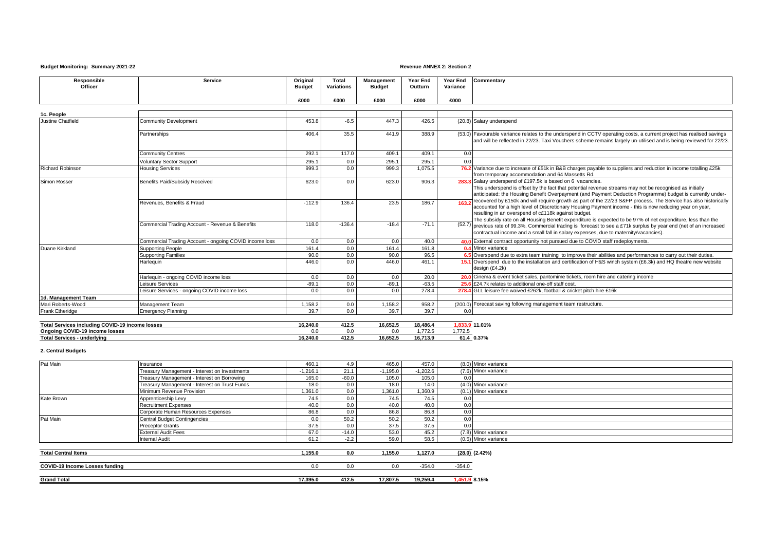### **Budget Monitoring: Summary 2021-22 Revenue ANNEX 2: Section 2**

| £000<br>£000<br>£000<br>£000<br>£000<br>1c. People<br>453.8<br>447.3<br>426.5<br>(20.8) Salary underspend<br>Justine Chatfield<br>$-6.5$<br>Community Development<br>(53.0) Favourable variance relates to the underspend in CCTV operating costs, a current project has realised savings<br>35.5<br>388.9<br>406.4<br>441.9<br>Partnerships<br>292.1<br>409.1<br><b>Community Centres</b><br>117.0<br>409.1<br>0.0<br>295.1<br>295.1<br>295.1<br>0.0<br>0.0<br><b>Voluntary Sector Support</b><br>76.2 Variance due to increase of £51k in B&B charges payable to suppliers and reduction in income totalling £25k<br>Richard Robinson<br>1,075.5<br><b>Housing Services</b><br>999.3<br>0.0<br>999.3<br>from temporary accommodation and 64 Massetts Rd.<br>906.3<br>283.3 Salary underspend of £197.5k is based on 6 vacancies.<br>Benefits Paid/Subsidy Received<br>623.0<br>623.0<br>Simon Rosser<br>0.0<br>This underspend is offset by the fact that potential revenue streams may not be recognised as initially<br>recovered by £150k and will require growth as part of the 22/23 S&FP process. The Service has also historically<br>186.7<br>Revenues, Benefits & Fraud<br>$-112.9$<br>136.4<br>23.5<br>accounted for a high level of Discretionary Housing Payment income - this is now reducing year on year,<br>resulting in an overspend of c£118k against budget.<br>The subsidy rate on all Housing Benefit expenditure is expected to be 97% of net expenditure, less than the<br>Commercial Trading Account - Revenue & Benefits<br>118.0<br>$-136.4$<br>$-18.4$<br>$-71.1$<br>(52.7) previous rate of 99.3%. Commercial trading is forecast to see a £71k surplus by year end (net of an increased<br>contractual income and a small fall in salary expenses, due to maternity/vacancies).<br>Commercial Trading Account - ongoing COVID income loss<br>0.0<br>0.0<br>40.0<br>0.0<br>40.0 External contract opportunity not pursued due to COVID staff redeployments.<br>161.4<br>161.8<br>Duane Kirkland<br>0.0<br>161.4<br>0.4 Minor variance<br><b>Supporting People</b><br>6.5 Overspend due to extra team training to improve their abilities and performances to carry out their duties.<br>90.0<br>96.5<br>0.0<br>90.0<br><b>Supporting Families</b><br>446.0<br>446.0<br>461.1<br>15.1 Overspend due to the installation and certification of H&S winch system (£6.3k) and HQ theatre new website<br>0.0<br>Harlequin<br>design (£4.2k)<br>Harlequin - ongoing COVID income loss<br>0.0<br>20.0<br>20.0 Cinema & event ticket sales, pantomime tickets, room hire and catering income<br>0.0<br>0.0<br>$-63.5$<br>$-89.1$<br>$-89.1$<br>0.0<br>25.6 £24.7k relates to additional one-off staff cost<br>Leisure Services<br>Leisure Services - ongoing COVID income loss<br>0.0<br>278.4<br>0.0<br>0.0<br>278.4 GLL leisure fee waived £262k, football & cricket pitch hire £16k<br>1d. Management Team<br>1.158.2<br>958.2<br>(200.0) Forecast saving following management team restructure.<br>Mari Roberts-Wood<br>Management Team<br>1,158.2<br>0.0<br>39.7<br>39.7<br>39.7<br>Frank Etheridge<br>0.0<br><b>Emergency Planning</b><br>0.0 | Responsible<br>Officer | Service | Original<br><b>Budget</b> | Total<br>Variations | Management<br><b>Budget</b> | Year End<br>Outturn | Year End<br>Variance | Commentary                                                                                                        |
|--------------------------------------------------------------------------------------------------------------------------------------------------------------------------------------------------------------------------------------------------------------------------------------------------------------------------------------------------------------------------------------------------------------------------------------------------------------------------------------------------------------------------------------------------------------------------------------------------------------------------------------------------------------------------------------------------------------------------------------------------------------------------------------------------------------------------------------------------------------------------------------------------------------------------------------------------------------------------------------------------------------------------------------------------------------------------------------------------------------------------------------------------------------------------------------------------------------------------------------------------------------------------------------------------------------------------------------------------------------------------------------------------------------------------------------------------------------------------------------------------------------------------------------------------------------------------------------------------------------------------------------------------------------------------------------------------------------------------------------------------------------------------------------------------------------------------------------------------------------------------------------------------------------------------------------------------------------------------------------------------------------------------------------------------------------------------------------------------------------------------------------------------------------------------------------------------------------------------------------------------------------------------------------------------------------------------------------------------------------------------------------------------------------------------------------------------------------------------------------------------------------------------------------------------------------------------------------------------------------------------------------------------------------------------------------------------------------------------------------------------------------------------------------------------------------------------------------------------------------------------------------------------------------------------------------------------------------------------------------------------------------------------------------------------------------------------------------------------------------------------------------------------------------------------|------------------------|---------|---------------------------|---------------------|-----------------------------|---------------------|----------------------|-------------------------------------------------------------------------------------------------------------------|
|                                                                                                                                                                                                                                                                                                                                                                                                                                                                                                                                                                                                                                                                                                                                                                                                                                                                                                                                                                                                                                                                                                                                                                                                                                                                                                                                                                                                                                                                                                                                                                                                                                                                                                                                                                                                                                                                                                                                                                                                                                                                                                                                                                                                                                                                                                                                                                                                                                                                                                                                                                                                                                                                                                                                                                                                                                                                                                                                                                                                                                                                                                                                                                          |                        |         |                           |                     |                             |                     |                      |                                                                                                                   |
|                                                                                                                                                                                                                                                                                                                                                                                                                                                                                                                                                                                                                                                                                                                                                                                                                                                                                                                                                                                                                                                                                                                                                                                                                                                                                                                                                                                                                                                                                                                                                                                                                                                                                                                                                                                                                                                                                                                                                                                                                                                                                                                                                                                                                                                                                                                                                                                                                                                                                                                                                                                                                                                                                                                                                                                                                                                                                                                                                                                                                                                                                                                                                                          |                        |         |                           |                     |                             |                     |                      |                                                                                                                   |
|                                                                                                                                                                                                                                                                                                                                                                                                                                                                                                                                                                                                                                                                                                                                                                                                                                                                                                                                                                                                                                                                                                                                                                                                                                                                                                                                                                                                                                                                                                                                                                                                                                                                                                                                                                                                                                                                                                                                                                                                                                                                                                                                                                                                                                                                                                                                                                                                                                                                                                                                                                                                                                                                                                                                                                                                                                                                                                                                                                                                                                                                                                                                                                          |                        |         |                           |                     |                             |                     |                      |                                                                                                                   |
|                                                                                                                                                                                                                                                                                                                                                                                                                                                                                                                                                                                                                                                                                                                                                                                                                                                                                                                                                                                                                                                                                                                                                                                                                                                                                                                                                                                                                                                                                                                                                                                                                                                                                                                                                                                                                                                                                                                                                                                                                                                                                                                                                                                                                                                                                                                                                                                                                                                                                                                                                                                                                                                                                                                                                                                                                                                                                                                                                                                                                                                                                                                                                                          |                        |         |                           |                     |                             |                     |                      |                                                                                                                   |
|                                                                                                                                                                                                                                                                                                                                                                                                                                                                                                                                                                                                                                                                                                                                                                                                                                                                                                                                                                                                                                                                                                                                                                                                                                                                                                                                                                                                                                                                                                                                                                                                                                                                                                                                                                                                                                                                                                                                                                                                                                                                                                                                                                                                                                                                                                                                                                                                                                                                                                                                                                                                                                                                                                                                                                                                                                                                                                                                                                                                                                                                                                                                                                          |                        |         |                           |                     |                             |                     |                      | and will be reflected in 22/23. Taxi Vouchers scheme remains largely un-utilised and is being reviewed for 22/23. |
|                                                                                                                                                                                                                                                                                                                                                                                                                                                                                                                                                                                                                                                                                                                                                                                                                                                                                                                                                                                                                                                                                                                                                                                                                                                                                                                                                                                                                                                                                                                                                                                                                                                                                                                                                                                                                                                                                                                                                                                                                                                                                                                                                                                                                                                                                                                                                                                                                                                                                                                                                                                                                                                                                                                                                                                                                                                                                                                                                                                                                                                                                                                                                                          |                        |         |                           |                     |                             |                     |                      |                                                                                                                   |
|                                                                                                                                                                                                                                                                                                                                                                                                                                                                                                                                                                                                                                                                                                                                                                                                                                                                                                                                                                                                                                                                                                                                                                                                                                                                                                                                                                                                                                                                                                                                                                                                                                                                                                                                                                                                                                                                                                                                                                                                                                                                                                                                                                                                                                                                                                                                                                                                                                                                                                                                                                                                                                                                                                                                                                                                                                                                                                                                                                                                                                                                                                                                                                          |                        |         |                           |                     |                             |                     |                      |                                                                                                                   |
|                                                                                                                                                                                                                                                                                                                                                                                                                                                                                                                                                                                                                                                                                                                                                                                                                                                                                                                                                                                                                                                                                                                                                                                                                                                                                                                                                                                                                                                                                                                                                                                                                                                                                                                                                                                                                                                                                                                                                                                                                                                                                                                                                                                                                                                                                                                                                                                                                                                                                                                                                                                                                                                                                                                                                                                                                                                                                                                                                                                                                                                                                                                                                                          |                        |         |                           |                     |                             |                     |                      |                                                                                                                   |
|                                                                                                                                                                                                                                                                                                                                                                                                                                                                                                                                                                                                                                                                                                                                                                                                                                                                                                                                                                                                                                                                                                                                                                                                                                                                                                                                                                                                                                                                                                                                                                                                                                                                                                                                                                                                                                                                                                                                                                                                                                                                                                                                                                                                                                                                                                                                                                                                                                                                                                                                                                                                                                                                                                                                                                                                                                                                                                                                                                                                                                                                                                                                                                          |                        |         |                           |                     |                             |                     |                      | anticipated: the Housing Benefit Overpayment (and Payment Deduction Programme) budget is currently under-         |
|                                                                                                                                                                                                                                                                                                                                                                                                                                                                                                                                                                                                                                                                                                                                                                                                                                                                                                                                                                                                                                                                                                                                                                                                                                                                                                                                                                                                                                                                                                                                                                                                                                                                                                                                                                                                                                                                                                                                                                                                                                                                                                                                                                                                                                                                                                                                                                                                                                                                                                                                                                                                                                                                                                                                                                                                                                                                                                                                                                                                                                                                                                                                                                          |                        |         |                           |                     |                             |                     |                      |                                                                                                                   |
|                                                                                                                                                                                                                                                                                                                                                                                                                                                                                                                                                                                                                                                                                                                                                                                                                                                                                                                                                                                                                                                                                                                                                                                                                                                                                                                                                                                                                                                                                                                                                                                                                                                                                                                                                                                                                                                                                                                                                                                                                                                                                                                                                                                                                                                                                                                                                                                                                                                                                                                                                                                                                                                                                                                                                                                                                                                                                                                                                                                                                                                                                                                                                                          |                        |         |                           |                     |                             |                     |                      |                                                                                                                   |
|                                                                                                                                                                                                                                                                                                                                                                                                                                                                                                                                                                                                                                                                                                                                                                                                                                                                                                                                                                                                                                                                                                                                                                                                                                                                                                                                                                                                                                                                                                                                                                                                                                                                                                                                                                                                                                                                                                                                                                                                                                                                                                                                                                                                                                                                                                                                                                                                                                                                                                                                                                                                                                                                                                                                                                                                                                                                                                                                                                                                                                                                                                                                                                          |                        |         |                           |                     |                             |                     |                      |                                                                                                                   |
|                                                                                                                                                                                                                                                                                                                                                                                                                                                                                                                                                                                                                                                                                                                                                                                                                                                                                                                                                                                                                                                                                                                                                                                                                                                                                                                                                                                                                                                                                                                                                                                                                                                                                                                                                                                                                                                                                                                                                                                                                                                                                                                                                                                                                                                                                                                                                                                                                                                                                                                                                                                                                                                                                                                                                                                                                                                                                                                                                                                                                                                                                                                                                                          |                        |         |                           |                     |                             |                     |                      |                                                                                                                   |
|                                                                                                                                                                                                                                                                                                                                                                                                                                                                                                                                                                                                                                                                                                                                                                                                                                                                                                                                                                                                                                                                                                                                                                                                                                                                                                                                                                                                                                                                                                                                                                                                                                                                                                                                                                                                                                                                                                                                                                                                                                                                                                                                                                                                                                                                                                                                                                                                                                                                                                                                                                                                                                                                                                                                                                                                                                                                                                                                                                                                                                                                                                                                                                          |                        |         |                           |                     |                             |                     |                      |                                                                                                                   |
|                                                                                                                                                                                                                                                                                                                                                                                                                                                                                                                                                                                                                                                                                                                                                                                                                                                                                                                                                                                                                                                                                                                                                                                                                                                                                                                                                                                                                                                                                                                                                                                                                                                                                                                                                                                                                                                                                                                                                                                                                                                                                                                                                                                                                                                                                                                                                                                                                                                                                                                                                                                                                                                                                                                                                                                                                                                                                                                                                                                                                                                                                                                                                                          |                        |         |                           |                     |                             |                     |                      |                                                                                                                   |
|                                                                                                                                                                                                                                                                                                                                                                                                                                                                                                                                                                                                                                                                                                                                                                                                                                                                                                                                                                                                                                                                                                                                                                                                                                                                                                                                                                                                                                                                                                                                                                                                                                                                                                                                                                                                                                                                                                                                                                                                                                                                                                                                                                                                                                                                                                                                                                                                                                                                                                                                                                                                                                                                                                                                                                                                                                                                                                                                                                                                                                                                                                                                                                          |                        |         |                           |                     |                             |                     |                      |                                                                                                                   |
|                                                                                                                                                                                                                                                                                                                                                                                                                                                                                                                                                                                                                                                                                                                                                                                                                                                                                                                                                                                                                                                                                                                                                                                                                                                                                                                                                                                                                                                                                                                                                                                                                                                                                                                                                                                                                                                                                                                                                                                                                                                                                                                                                                                                                                                                                                                                                                                                                                                                                                                                                                                                                                                                                                                                                                                                                                                                                                                                                                                                                                                                                                                                                                          |                        |         |                           |                     |                             |                     |                      |                                                                                                                   |
|                                                                                                                                                                                                                                                                                                                                                                                                                                                                                                                                                                                                                                                                                                                                                                                                                                                                                                                                                                                                                                                                                                                                                                                                                                                                                                                                                                                                                                                                                                                                                                                                                                                                                                                                                                                                                                                                                                                                                                                                                                                                                                                                                                                                                                                                                                                                                                                                                                                                                                                                                                                                                                                                                                                                                                                                                                                                                                                                                                                                                                                                                                                                                                          |                        |         |                           |                     |                             |                     |                      |                                                                                                                   |
|                                                                                                                                                                                                                                                                                                                                                                                                                                                                                                                                                                                                                                                                                                                                                                                                                                                                                                                                                                                                                                                                                                                                                                                                                                                                                                                                                                                                                                                                                                                                                                                                                                                                                                                                                                                                                                                                                                                                                                                                                                                                                                                                                                                                                                                                                                                                                                                                                                                                                                                                                                                                                                                                                                                                                                                                                                                                                                                                                                                                                                                                                                                                                                          |                        |         |                           |                     |                             |                     |                      |                                                                                                                   |
|                                                                                                                                                                                                                                                                                                                                                                                                                                                                                                                                                                                                                                                                                                                                                                                                                                                                                                                                                                                                                                                                                                                                                                                                                                                                                                                                                                                                                                                                                                                                                                                                                                                                                                                                                                                                                                                                                                                                                                                                                                                                                                                                                                                                                                                                                                                                                                                                                                                                                                                                                                                                                                                                                                                                                                                                                                                                                                                                                                                                                                                                                                                                                                          |                        |         |                           |                     |                             |                     |                      |                                                                                                                   |
|                                                                                                                                                                                                                                                                                                                                                                                                                                                                                                                                                                                                                                                                                                                                                                                                                                                                                                                                                                                                                                                                                                                                                                                                                                                                                                                                                                                                                                                                                                                                                                                                                                                                                                                                                                                                                                                                                                                                                                                                                                                                                                                                                                                                                                                                                                                                                                                                                                                                                                                                                                                                                                                                                                                                                                                                                                                                                                                                                                                                                                                                                                                                                                          |                        |         |                           |                     |                             |                     |                      |                                                                                                                   |

| Total.<br>$-$ 4 m $-$<br>COVID-<br>al Services including (<br>income losses<br>. . | 16.240.0 | $\mathbf{A}$<br>41Z.J     | 16.652.5 | 18.486.          | 0.49                 |
|------------------------------------------------------------------------------------|----------|---------------------------|----------|------------------|----------------------|
| <b>COVID</b><br>0-19 income losses<br>Onao<br>.                                    | v.v      | J.C                       | U.U      | 770<br>$\sim$    | 7701<br>ن ے ا        |
| Total.<br><sup>1</sup> Services<br>· underlving                                    | 16.240.0 | $\overline{110}$<br>414.5 | 16.652.5 | 4C 742<br>10.713 | 0.37%<br><b>D</b> 1. |

**2. Central Budgets**

| Pat Main                              | Insurance                                     | 460.1      | 4.9     | 465.0      | 457.0      | (8.0) Minor variance |
|---------------------------------------|-----------------------------------------------|------------|---------|------------|------------|----------------------|
|                                       | Treasury Management - Interest on Investments | $-1,216.1$ | 21.1    | $-1,195.0$ | $-1,202.6$ | (7.6) Minor variance |
|                                       | Treasury Management - Interest on Borrowing   | 165.0      | $-60.0$ | 105.0      | 105.0      | 0.0 <sub>1</sub>     |
|                                       | Treasury Management - Interest on Trust Funds | 18.0       | 0.0     | 18.0       | 14.0       | (4.0) Minor variance |
|                                       | Minimum Revenue Provision                     | 1,361.0    | 0.0     | 1,361.0    | 1,360.9    | (0.1) Minor variance |
| Kate Brown                            | Apprenticeship Levy                           | 74.5       | 0.0     | 74.5       | 74.5       | 0.0                  |
|                                       | <b>Recruitment Expenses</b>                   | 40.0       | 0.0     | 40.0       | 40.0       | 0.0                  |
|                                       | Corporate Human Resources Expenses            | 86.8       | 0.0     | 86.8       | 86.8       | 0.0                  |
| Pat Main                              | Central Budget Contingencies                  | 0.0        | 50.2    | 50.2       | 50.2       | 0.0                  |
|                                       | <b>Preceptor Grants</b>                       | 37.5       | 0.0     | 37.5       | 37.5       | 0.0                  |
|                                       | <b>External Audit Fees</b>                    | 67.0       | $-14.0$ | 53.0       | 45.2       | (7.8) Minor variance |
|                                       | <b>Internal Audit</b>                         | 61.2       | $-2.2$  | 59.0       | 58.5       | (0.5) Minor variance |
|                                       |                                               |            |         |            |            |                      |
| <b>Total Central Items</b>            |                                               | 1.155.0    | 0.0     | 1.155.0    | 1.127.0    | $(28.0)$ $(2.42\%)$  |
|                                       |                                               |            |         |            |            |                      |
| <b>COVID-19 Income Losses funding</b> |                                               | 0.0        | 0.0     | 0.0        | $-354.0$   | $-354.0$             |

| <b>Grand Total</b> | 17,395.0 | 412.5 | 17.807.5 | 19.259.4 | $\overline{\phantom{a}}$<br>.15% |
|--------------------|----------|-------|----------|----------|----------------------------------|